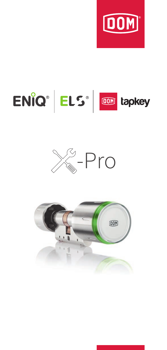





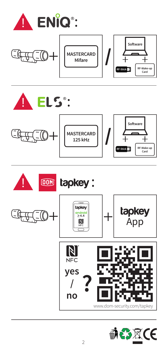







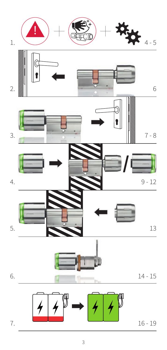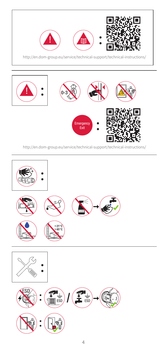



http://en.dom-group.eu/service/technical-support/technical-instructions/

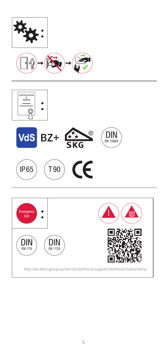



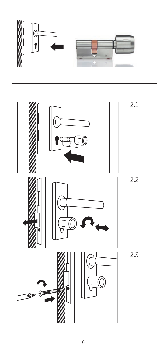

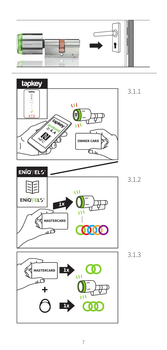



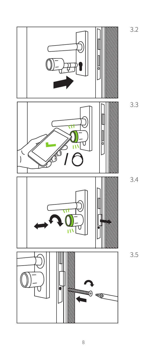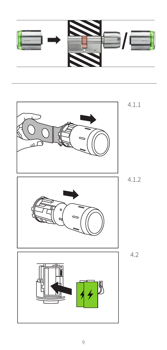

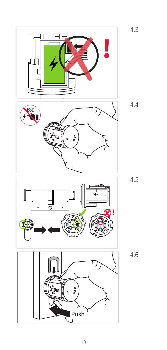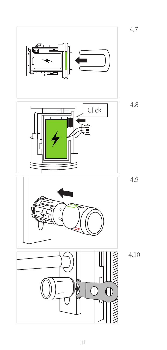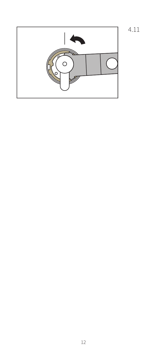4.11

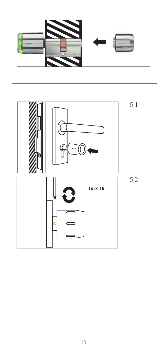

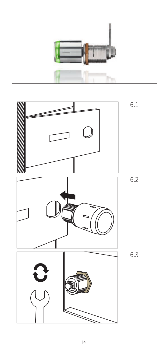

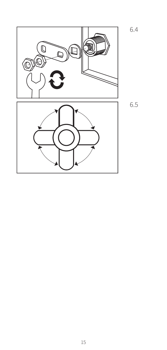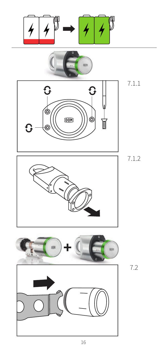$$
\boxed{4}\boxed{4}^{\mathbb{F}}\rightarrow\boxed{4}\boxed{4}^{\mathbb{F}}
$$









7.1.1



7.2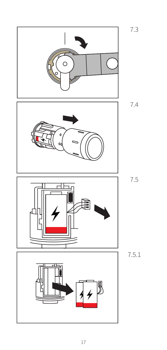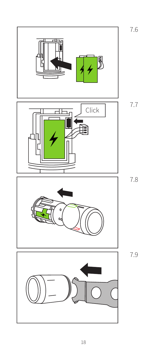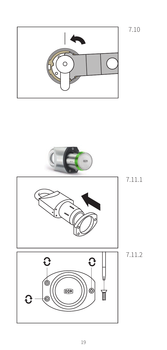







7.11.1

7.10

7.11.2